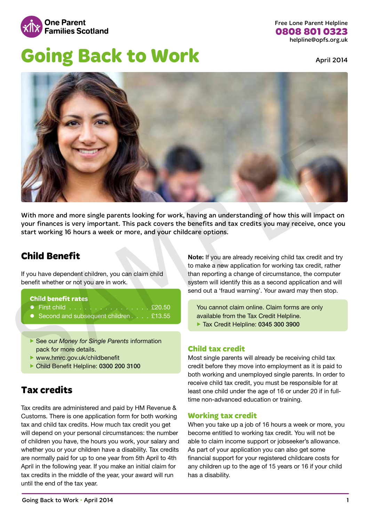

Free Lone Parent Helpline **0808 801 0323** helpline@opfs.org.uk

# **Going Back to Work April 2014**



With more and more single parents looking for work, having an understanding of how this will impact on your finances is very important. This pack covers the benefits and tax credits you may receive, once you start working 16 hours a week or more, and your childcare options.

### **Child Benefit**

If you have dependent children, you can claim child benefit whether or not you are in work.

#### **Child benefit rates**

- $\bullet$  First child  $\cdot \cdot \cdot \cdot \cdot \cdot \cdot \cdot \cdot \cdot \cdot \cdot \cdot \cdot \cdot \cdot \cdot$  £20.50
- Second and subsequent children . . . . £13.55
- ▶ See our *Money for Single Parents* information pack for more details.
- $\blacktriangleright$  www.hmrc.gov.uk/childbenefit
- ▶ Child Benefit Helpline: 0300 200 3100

### **Tax credits**

Tax credits are administered and paid by HM Revenue & Customs. There is one application form for both working tax and child tax credits. How much tax credit you get will depend on your personal circumstances: the number of children you have, the hours you work, your salary and whether you or your children have a disability. Tax credits are normally paid for up to one year from 5th April to 4th April in the following year. If you make an initial claim for tax credits in the middle of the year, your award will run until the end of the tax year.

Note: If you are already receiving child tax credit and try to make a new application for working tax credit, rather than reporting a change of circumstance, the computer system will identify this as a second application and will send out a 'fraud warning'. Your award may then stop.

You cannot claim online. Claim forms are only available from the Tax Credit Helpline. ▶ Tax Credit Helpline: 0345 300 3900

#### **Child tax credit**

Most single parents will already be receiving child tax credit before they move into employment as it is paid to both working and unemployed single parents. In order to receive child tax credit, you must be responsible for at least one child under the age of 16 or under 20 if in fulltime non-advanced education or training.

#### **Working tax credit**

When you take up a job of 16 hours a week or more, you become entitled to working tax credit. You will not be able to claim income support or jobseeker's allowance. As part of your application you can also get some financial support for your registered childcare costs for any children up to the age of 15 years or 16 if your child has a disability.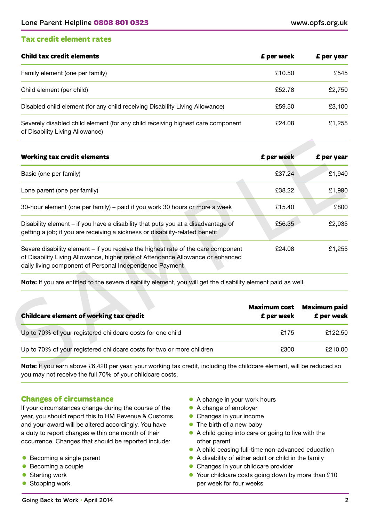#### **Tax credit element rates**

| <b>Child tax credit elements</b>                                                                                   | <b>£</b> per week | £ per year |
|--------------------------------------------------------------------------------------------------------------------|-------------------|------------|
| Family element (one per family)                                                                                    | £10.50            | £545       |
| Child element (per child)                                                                                          | £52.78            | £2,750     |
| Disabled child element (for any child receiving Disability Living Allowance)                                       | £59.50            | £3,100     |
| Severely disabled child element (for any child receiving highest care component<br>of Disability Living Allowance) | £24.08            | £1,255     |

| <b>Working tax credit elements</b>                                                                                                                                                                                              | £ per week                        | £ per year                        |
|---------------------------------------------------------------------------------------------------------------------------------------------------------------------------------------------------------------------------------|-----------------------------------|-----------------------------------|
| Basic (one per family)                                                                                                                                                                                                          | £37.24                            | £1,940                            |
| Lone parent (one per family)                                                                                                                                                                                                    | £38.22                            | £1,990                            |
| 30-hour element (one per family) – paid if you work 30 hours or more a week                                                                                                                                                     | £15.40                            | £800                              |
| Disability element - if you have a disability that puts you at a disadvantage of<br>getting a job; if you are receiving a sickness or disability-related benefit                                                                | £56.35                            | £2,935                            |
| Severe disability element – if you receive the highest rate of the care component<br>of Disability Living Allowance, higher rate of Attendance Allowance or enhanced<br>daily living component of Personal Independence Payment | £24.08                            | £1,255                            |
| Note: If you are entitled to the severe disability element, you will get the disability element paid as well.                                                                                                                   |                                   |                                   |
| <b>Childcare element of working tax credit</b>                                                                                                                                                                                  | <b>Maximum cost</b><br>£ per week | <b>Maximum paid</b><br>£ per week |
| Up to 70% of your registered childcare costs for one child                                                                                                                                                                      | £175                              | £122.50                           |
| Up to 70% of your registered childcare costs for two or more children                                                                                                                                                           | £300                              | £210.00                           |

| <b>Childcare element of working tax credit</b>                        | Maximum cost<br>£ per week | <b>Maximum paid</b><br>£ per week |
|-----------------------------------------------------------------------|----------------------------|-----------------------------------|
| Up to 70% of your registered childcare costs for one child            | £175                       | £122.50                           |
| Up to 70% of your registered childcare costs for two or more children | £300                       | £210.00                           |

Note: If you earn above £6,420 per year, your working tax credit, including the childcare element, will be reduced so you may not receive the full 70% of your childcare costs.

#### **Changes of circumstance**

If your circumstances change during the course of the year, you should report this to HM Revenue & Customs and your award will be altered accordingly. You have a duty to report changes within one month of their occurrence. Changes that should be reported include:

- $\bullet$  Becoming a single parent
- $\bullet$  Becoming a couple
- Starting work
- $\bullet$  Stopping work
- A change in your work hours
- $\bullet$  A change of employer
- Changes in your income
- $\bullet$  The birth of a new baby
- $\bullet$  A child going into care or going to live with the other parent
- A child ceasing full-time non-advanced education
- A disability of either adult or child in the family
- Changes in your childcare provider
- Your childcare costs going down by more than £10 per week for four weeks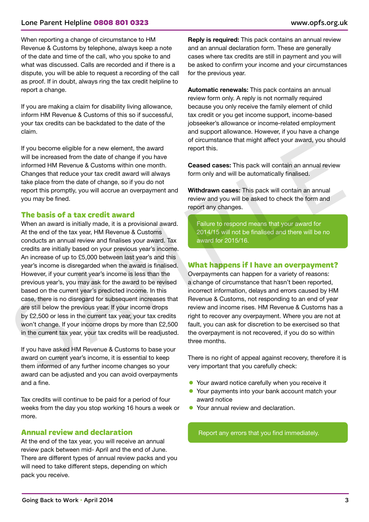#### Lone Parent Helpline **0808 801 0323** www.opfs.org.uk

When reporting a change of circumstance to HM Revenue & Customs by telephone, always keep a note of the date and time of the call, who you spoke to and what was discussed. Calls are recorded and if there is a dispute, you will be able to request a recording of the call as proof. If in doubt, always ring the tax credit helpline to report a change.

If you are making a claim for disability living allowance, inform HM Revenue & Customs of this so if successful, your tax credits can be backdated to the date of the claim.

If you become eligible for a new element, the award will be increased from the date of change if you have informed HM Revenue & Customs within one month. Changes that reduce your tax credit award will always take place from the date of change, so if you do not report this promptly, you will accrue an overpayment and you may be fined.

#### **The basis of a tax credit award**

When an award is initially made, it is a provisional award. At the end of the tax year, HM Revenue & Customs conducts an annual review and finalises your award. Tax credits are initially based on your previous year's income. An increase of up to £5,000 between last year's and this year's income is disregarded when the award is finalised. However, if your current year's income is less than the previous year's, you may ask for the award to be revised based on the current year's predicted income. In this case, there is no disregard for subsequent increases that are still below the previous year. If your income drops by £2,500 or less in the current tax year, your tax credits won't change. If your income drops by more than £2,500 in the current tax year, your tax credits will be readjusted. If you become eligible for a new element, the award<br>
will be increased from the date of change if you have<br>
informed HM Revenue & Customs within one month.<br>
Informed HM Revenue & Customs within one month of Dange share at

If you have asked HM Revenue & Customs to base your award on current year's income, it is essential to keep them informed of any further income changes so your award can be adjusted and you can avoid overpayments and a fine.

Tax credits will continue to be paid for a period of four weeks from the day you stop working 16 hours a week or more.

#### **Annual review and declaration**

At the end of the tax year, you will receive an annual review pack between mid- April and the end of June. There are different types of annual review packs and you will need to take different steps, depending on which pack you receive.

**Reply is required:** This pack contains an annual review and an annual declaration form. These are generally cases where tax credits are still in payment and you will be asked to confirm your income and your circumstances for the previous year.

Automatic renewals: This pack contains an annual review form only. A reply is not normally required because you only receive the family element of child tax credit or you get income support, income-based jobseeker's allowance or income-related employment and support allowance. However, if you have a change of circumstance that might affect your award, you should report this.

Ceased cases: This pack will contain an annual review form only and will be automatically finalised.

Withdrawn cases: This pack will contain an annual review and you will be asked to check the form and report any changes.

Failure to respond means that your award for 2014/15 will not be finalised and there will be no award for 2015/16.

#### **What happens if I have an overpayment?**

Overpayments can happen for a variety of reasons: a change of circumstance that hasn't been reported, incorrect information, delays and errors caused by HM Revenue & Customs, not responding to an end of year review and income rises. HM Revenue & Customs has a right to recover any overpayment. Where you are not at fault, you can ask for discretion to be exercised so that the overpayment is not recovered, if you do so within three months.

There is no right of appeal against recovery, therefore it is very important that you carefully check:

- Your award notice carefully when you receive it
- Your payments into your bank account match your award notice
- Your annual review and declaration.

Report any errors that you find immediately.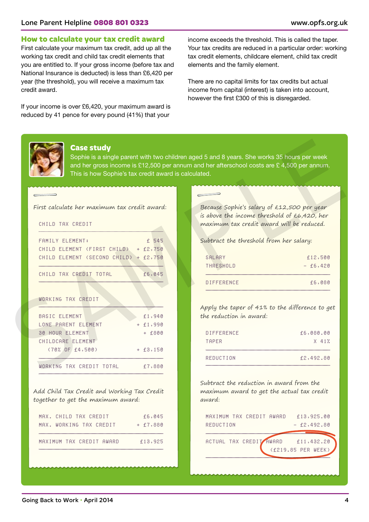#### **How to calculate your tax credit award**

First calculate your maximum tax credit, add up all the working tax credit and child tax credit elements that you are entitled to. If your gross income (before tax and National Insurance is deducted) is less than £6,420 per year (the threshold), you will receive a maximum tax credit award.

If your income is over £6,420, your maximum award is reduced by 41 pence for every pound (41%) that your

income exceeds the threshold. This is called the taper. Your tax credits are reduced in a particular order: working tax credit elements, childcare element, child tax credit elements and the family element.

There are no capital limits for tax credits but actual income from capital (interest) is taken into account, however the first £300 of this is disregarded.

#### **Case study**

| <b>FAMILY ELEMENT:</b>                | $£$ 545 |
|---------------------------------------|---------|
| CHILD ELEMENT (FIRST CHILD) + £2,750  |         |
| CHILD ELEMENT (SECOND CHILD) + £2,750 |         |
|                                       |         |
| CHILD TAX CREDIT TOTAL                | £6,045  |
|                                       |         |

|                                                                   | This is how Sophie's tax credit award is calculated. | Sophie is a single parent with two children aged 5 and 8 years. She works 35 hours per week<br>and her gross income is £12,500 per annum and her afterschool costs are £4,500 per annum. |            |
|-------------------------------------------------------------------|------------------------------------------------------|------------------------------------------------------------------------------------------------------------------------------------------------------------------------------------------|------------|
|                                                                   |                                                      |                                                                                                                                                                                          |            |
| First calculate her maximum tax credit award:<br>CHILD TAX CREDIT |                                                      | Because Sophie's salary of £12,500 per year<br>is above the income threshold of £6,420, her<br>maximum tax credit award will be reduced.                                                 |            |
| FAMILY ELEMENT:                                                   | £ 545                                                | Subtract the threshold from her salary:                                                                                                                                                  |            |
| CHILD ELEMENT (FIRST CHILD)                                       | $+ f2,750$                                           |                                                                                                                                                                                          |            |
| CHILD ELEMENT (SECOND CHILD) + £2,750                             |                                                      | SALARY                                                                                                                                                                                   | £12,500    |
|                                                                   |                                                      | THRESHOLD                                                                                                                                                                                | $- f6,420$ |
| CHILD TAX CREDIT TOTAL                                            | £6,045                                               |                                                                                                                                                                                          |            |
|                                                                   |                                                      | <b>DIFFERENCE</b>                                                                                                                                                                        | £6,080     |
| WORKING TAX CREDIT                                                |                                                      |                                                                                                                                                                                          |            |
|                                                                   |                                                      | Apply the taper of 41% to the difference to get                                                                                                                                          |            |
| <b>BASIC ELEMENT</b>                                              | f1,940                                               | the reduction in award:                                                                                                                                                                  |            |
| LONE PARENT ELEMENT                                               | $+ f1,990$                                           |                                                                                                                                                                                          |            |
| <b>30 HOUR ELEMENT</b>                                            | $+$ £800                                             | DIFFERENCE                                                                                                                                                                               | f6,080.00  |
| CHILDCARE ELEMENT                                                 |                                                      | TAPER                                                                                                                                                                                    | $X$ 41%    |
| $(70\% \t 0F \t f4,500)$                                          | $+ f3,150$                                           |                                                                                                                                                                                          |            |

Add Child Tax Credit and Working Tax Credit together to get the maximum award:

| MAX. CHILD TAX CREDIT    | £6,045     |
|--------------------------|------------|
| MAX. WORKING TAX CREDIT  | $+ 67,880$ |
|                          |            |
| MAXIMUM TAX CREDIT AWARD | f13,925    |

| SALARY     | £12,500  |
|------------|----------|
| THRESHOLD  | $-6,420$ |
| DIFFERENCE | £6,080   |

| DIFFERENCE | £6,080.00 |
|------------|-----------|
| TAPER      | $X$ 41%   |
|            |           |
| REDUCTION  | f2,492.80 |

Subtract the reduction in award from the maximum award to get the actual tax credit award:

|           | MAXIMUM TAX CREDIT AWARD |                                    | £13,925.00 |
|-----------|--------------------------|------------------------------------|------------|
| REDUCTION |                          | $-$ £2,492.80                      |            |
|           |                          |                                    |            |
|           |                          | ACTUAL TAX CREDIT AWARD £11,432.20 |            |
|           |                          | (£219.85 PER WEEK)                 |            |
|           |                          |                                    |            |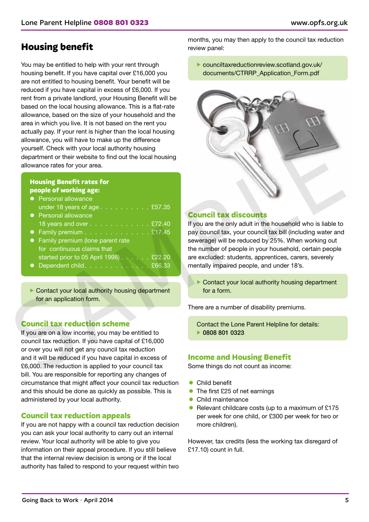### **Housing benefit**

You may be entitled to help with your rent through housing benefit. If you have capital over £16,000 you are not entitled to housing benefit. Your benefit will be reduced if you have capital in excess of £6,000. If you rent from a private landlord, your Housing Benefit will be based on the local housing allowance. This is a flat-rate allowance, based on the size of your household and the area in which you live. It is not based on the rent you actually pay. If your rent is higher than the local housing allowance, you will have to make up the difference yourself. Check with your local authority housing department or their website to find out the local housing allowance rates for your area.

#### **Housing Benefit rates for people of working age:**

| • Personal allowance                       |
|--------------------------------------------|
| under 18 years of age . $\sqrt{21}$ £57.35 |
| • Personal allowance                       |
| 18 years and over $\sqrt{2}$ 272.40        |
| • Family premium $\ldots$ 217.45           |

- Family premium (lone parent rate for continuous claims that started prior to 05 April 1998) . . . . . . £22.20
- $\bullet$  Dependent child . . . . . . . . . . . . . £66.33

 $\triangleright$  Contact your local authority housing department for an application form.

#### **Council tax reduction scheme**

If you are on a low income, you may be entitled to council tax reduction. If you have capital of £16,000 or over you will not get any council tax reduction and it will be reduced if you have capital in excess of £6,000. The reduction is applied to your council tax bill. You are responsible for reporting any changes of circumstance that might affect your council tax reduction and this should be done as quickly as possible. This is administered by your local authority.

#### **Council tax reduction appeals**

If you are not happy with a council tax reduction decision you can ask your local authority to carry out an internal review. Your local authority will be able to give you information on their appeal procedure. If you still believe that the internal review decision is wrong or if the local authority has failed to respond to your request within two

months, you may then apply to the council tax reduction review panel:

 $\blacktriangleright$  [counciltaxreductionreview.scotland.gov.uk/](http://counciltaxreductionreview.scotland.gov.uk/documents/CTRRP_Application_Form.pdf) [documents/CTRRP\\_Application\\_Form.pdf](http://counciltaxreductionreview.scotland.gov.uk/documents/CTRRP_Application_Form.pdf)



#### **Council tax discounts**

If you are the only adult in the household who is liable to pay council tax, your council tax bill (including water and sewerage) will be reduced by 25%. When working out the number of people in your household, certain people are excluded: students, apprentices, carers, severely mentally impaired people, and under 18's.

 $\triangleright$  Contact your local authority housing department for a form.

There are a number of disability premiums.

Contact the Lone Parent Helpline for details: f 0808 801 0323

#### **Income and Housing Benefit**

Some things do not count as income:

- **Child benefit**
- $\bullet$  The first £25 of net earnings
- Child maintenance
- Relevant childcare costs (up to a maximum of £175 per week for one child, or £300 per week for two or more children).

However, tax credits (less the working tax disregard of £17.10) count in full.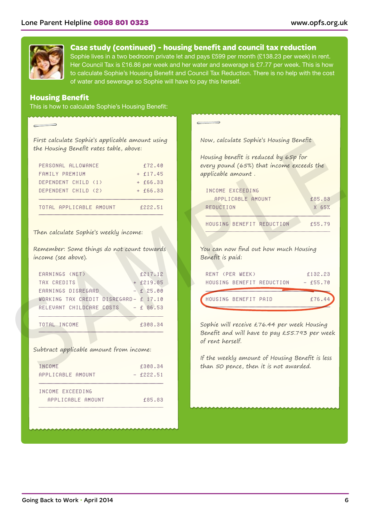

**Case study (continued) - housing benefit and council tax reduction** 

Sophie lives in a two bedroom private let and pays £599 per month (£138.23 per week) in rent. Her Council Tax is £16.86 per week and her water and sewerage is £7.77 per week. This is how to calculate Sophie's Housing Benefit and Council Tax Reduction. There is no help with the cost of water and sewerage so Sophie will have to pay this herself.

#### **Housing Benefit**

This is how to calculate Sophie's Housing Benefit:

| First calculate Sophie's applicable amount using |
|--------------------------------------------------|
| the Housing Benefit rates table, above:          |

| PERSONAL ALLOWANCE      | £72.40     |
|-------------------------|------------|
| FAMILY PREMIUM          | $+$ £17.45 |
| DEPENDENT CHILD (1)     | $+ 66.33$  |
| DEPENDENT CHILD (2)     | $+$ £66.33 |
| TOTAL APPLICABLE AMOUNT | f222.51    |

#### Then calculate Sophie's weekly income:

| EARNINGS (NET) |                          |                                       | £217.12     |
|----------------|--------------------------|---------------------------------------|-------------|
| TAX CREDITS    |                          |                                       | $+$ £219.85 |
|                | EARNINGS DISREGARD       |                                       | $- f 25.00$ |
|                |                          | WORKING TAX CREDIT DISREGARD- £ 17.10 |             |
|                | RELEVANT CHILDCARE COSTS |                                       | $- f 86.53$ |
|                |                          |                                       |             |
| TOTAL INCOME   |                          |                                       | £308.34     |

| INCOME            | £308.34     |
|-------------------|-------------|
| APPLICABLE AMOUNT | $-$ f222.51 |
| INCOME EXCEEDING  |             |
| APPLICABLE AMOUNT | £85.83      |

| First calculate Sophie's applicable amount using<br>the Housing Benefit rates table, above: |             | Now, calculate Sophie's Housing Benefit                                            |            |
|---------------------------------------------------------------------------------------------|-------------|------------------------------------------------------------------------------------|------------|
| PERSONAL ALLOWANCE                                                                          | f72.40      | Housing benefit is reduced by 65p for<br>every pound (65%) that income exceeds the |            |
| FAMILY PREMIUM                                                                              | $+ f17.45$  | applicable amount.                                                                 |            |
| DEPENDENT CHILD (1)                                                                         | $+ f66.33$  |                                                                                    |            |
| DEPENDENT CHILD (2)                                                                         | $+ f66.33$  | INCOME EXCEEDING                                                                   |            |
|                                                                                             |             | APPLICABLE AMOUNT                                                                  | £85.83     |
| TOTAL APPLICABLE AMOUNT                                                                     | £222.51     | <b>REDUCTION</b>                                                                   | $X$ 65%    |
|                                                                                             |             |                                                                                    |            |
|                                                                                             |             |                                                                                    |            |
| Then calculate Sophie's weekly income:<br>Remember: Some things do not count towards        |             | HOUSING BENEFIT REDUCTION<br>You can now find out how much Housing                 | £55.79     |
| income (see above).                                                                         |             | Benefit is paid:                                                                   |            |
| EARNINGS (NET)                                                                              | £217.12     | RENT (PER WEEK)                                                                    | £132.23    |
| TAX CREDITS                                                                                 | $+$ f219.85 | HOUSING BENEFIT REDUCTION                                                          | $-$ £55.70 |
| EARNINGS DISREGARD                                                                          | $- f 25.00$ |                                                                                    |            |
| WORKING TAX CREDIT DISREGARD- £ 17.10                                                       |             | HOUSING BENEFIT PAID                                                               | £76.4      |
| RELEVANT CHILDCARE COSTS                                                                    | $- f 86.53$ |                                                                                    |            |
| TOTAL INCOME                                                                                | £308.34     | Sophie will receive £76.44 per week Housing                                        |            |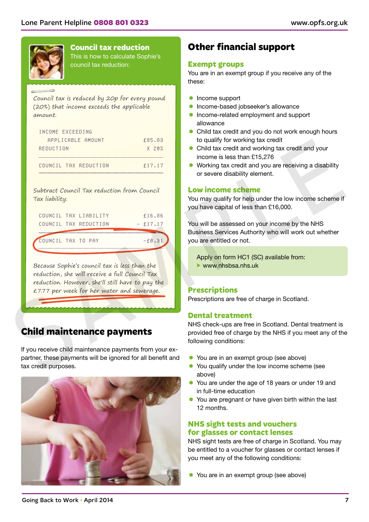

### **Council tax reduction**

This is how to calculate Sophie's council tax reduction:

#### Council tax is reduced by 20p for every pound (20%) that income exceeds the applicable amount.

| INCOME EXCEEDING      |        |
|-----------------------|--------|
| APPLICABLE AMOUNT     | £85.83 |
| REDUCTION             | X 20%  |
| COUNCIL TAX REDUCTION | f17.17 |

| REDUCTION                                                                                                                                                                                         | f85.83     | to qualify for working tax credit                                                                       |
|---------------------------------------------------------------------------------------------------------------------------------------------------------------------------------------------------|------------|---------------------------------------------------------------------------------------------------------|
|                                                                                                                                                                                                   | X20%       | Child tax credit and working tax credit and your<br>$\bullet$<br>income is less than £15,276            |
| COUNCIL TAX REDUCTION                                                                                                                                                                             | £17.17     | Working tax credit and you are receiving a disability                                                   |
|                                                                                                                                                                                                   |            | or severe disability element.                                                                           |
| Subtract Council Tax reduction from Council                                                                                                                                                       |            | <b>Low income scheme</b>                                                                                |
| Tax liability:                                                                                                                                                                                    |            | You may qualify for help under the low income scheme if                                                 |
|                                                                                                                                                                                                   |            | you have capital of less than £16,000.                                                                  |
| COUNCIL TAX LIABILITY                                                                                                                                                                             | £16.86     |                                                                                                         |
| COUNCIL TAX REDUCTION                                                                                                                                                                             | $-$ £17.17 | You will be assessed on your income by the NHS<br>Business Services Authority who will work out whether |
| COUNCIL TAX TO PAY                                                                                                                                                                                | $-f0.31$   | you are entitled or not.                                                                                |
| Because Sophie's council tax is less than the<br>reduction, she will receive a full Council Tax<br>reduction. However, she'll still have to pay the<br>£7.77 per week for her water and sewerage. |            | $\blacktriangleright$ www.nhsbsa.nhs.uk<br><b>Prescriptions</b>                                         |
|                                                                                                                                                                                                   |            | Prescriptions are free of charge in Scotland.                                                           |
|                                                                                                                                                                                                   |            |                                                                                                         |
|                                                                                                                                                                                                   |            | <b>Dental treatment</b>                                                                                 |
|                                                                                                                                                                                                   |            | NHS check-ups are free in Scotland. Dental treatment is                                                 |
|                                                                                                                                                                                                   |            | provided free of charge by the NHS if you meet any of the                                               |
| <b>Child maintenance payments</b><br>If you receive child maintenance payments from your ex-                                                                                                      |            | following conditions:                                                                                   |
| partner, these payments will be ignored for all benefit and                                                                                                                                       |            | You are in an exempt group (see above)                                                                  |

### **Child maintenance payments**



### **Other financial support**

#### **Exempt groups**

You are in an exempt group if you receive any of the these:

- **•** Income support
- **•** Income-based jobseeker's allowance
- $\bullet$  Income-related employment and support allowance
- Child tax credit and you do not work enough hours to qualify for working tax credit
- Child tax credit and working tax credit and your income is less than £15,276
- $\bullet$  Working tax credit and you are receiving a disability or severe disability element.

#### **Low income scheme**

#### **Prescriptions**

#### **Dental treatment**

- You are in an exempt group (see above)
- You qualify under the low income scheme (see above)
- You are under the age of 18 years or under 19 and in full-time education
- You are pregnant or have given birth within the last 12 months.

#### **NHS sight tests and vouchers for glasses or contact lenses**

NHS sight tests are free of charge in Scotland. You may be entitled to a voucher for glasses or contact lenses if you meet any of the following conditions:

• You are in an exempt group (see above)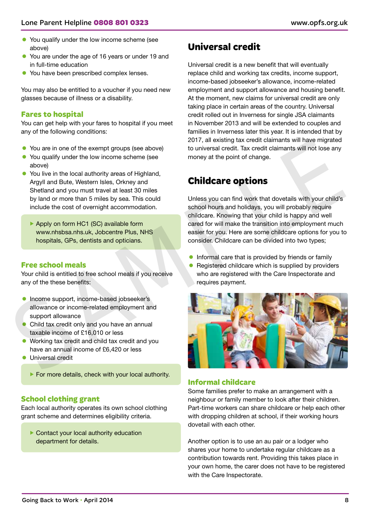- You qualify under the low income scheme (see above)
- You are under the age of 16 years or under 19 and in full-time education
- You have been prescribed complex lenses.

You may also be entitled to a voucher if you need new glasses because of illness or a disability.

#### **Fares to hospital**

You can get help with your fares to hospital if you meet any of the following conditions:

- You are in one of the exempt groups (see above)
- You qualify under the low income scheme (see above)
- $\bullet$  You live in the local authority areas of Highland, Argyll and Bute, Western Isles, Orkney and Shetland and you must travel at least 30 miles by land or more than 5 miles by sea. This could include the cost of overnight accommodation.
	- ▶ Apply on form HC1 (SC) available form www.nhsbsa.nhs.uk, Jobcentre Plus, NHS hospitals, GPs, dentists and opticians.

#### **Free school meals**

Your child is entitled to free school meals if you receive any of the these benefits:

- **•** Income support, income-based jobseeker's allowance or income-related employment and support allowance
- Child tax credit only and you have an annual taxable income of £16,010 or less
- Working tax credit and child tax credit and you have an annual income of £6,420 or less
- **C** Universal credit
	- $\blacktriangleright$  For more details, check with your local authority.

#### **School clothing grant**

Each local authority operates its own school clothing grant scheme and determines eligibility criteria.

 $\blacktriangleright$  Contact your local authority education department for details.

### **Universal credit**

Universal credit is a new benefit that will eventually replace child and working tax credits, income support, income-based jobseeker's allowance, income-related employment and support allowance and housing benefit. At the moment, new claims for universal credit are only taking place in certain areas of the country. Universal credit rolled out in Inverness for single JSA claimants in November 2013 and will be extended to couples and families in Inverness later this year. It is intended that by 2017, all existing tax credit claimants will have migrated to universal credit. Tax credit claimants will not lose any money at the point of change.

### **Childcare options**

Unless you can find work that dovetails with your child's school hours and holidays, you will probably require childcare. Knowing that your child is happy and well cared for will make the transition into employment much easier for you. Here are some childcare options for you to consider. Childcare can be divided into two types;

- Informal care that is provided by friends or family
- Registered childcare which is supplied by providers who are registered with the Care Inspectorate and requires payment.



#### **Informal childcare**

Some families prefer to make an arrangement with a neighbour or family member to look after their children. Part-time workers can share childcare or help each other with dropping children at school, if their working hours dovetail with each other.

Another option is to use an au pair or a lodger who shares your home to undertake regular childcare as a contribution towards rent. Providing this takes place in your own home, the carer does not have to be registered with the Care Inspectorate.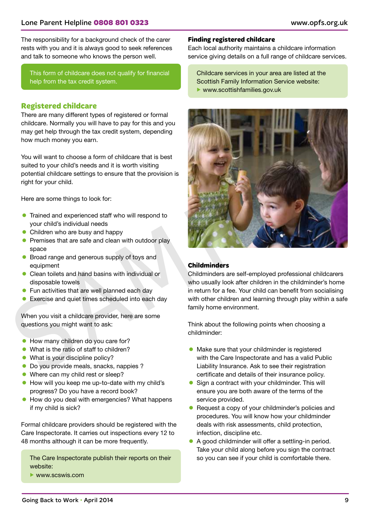#### Lone Parent Helpline **0808 801 0323** www.opfs.org.uk

The responsibility for a background check of the carer rests with you and it is always good to seek references and talk to someone who knows the person well.

This form of childcare does not qualify for financial help from the tax credit system.

#### **Registered childcare**

There are many different types of registered or formal childcare. Normally you will have to pay for this and you may get help through the tax credit system, depending how much money you earn.

You will want to choose a form of childcare that is best suited to your child's needs and it is worth visiting potential childcare settings to ensure that the provision is right for your child.

Here are some things to look for:

- Trained and experienced staff who will respond to your child's individual needs
- $\bullet$  Children who are busy and happy
- Premises that are safe and clean with outdoor play space
- **•** Broad range and generous supply of toys and equipment
- Clean toilets and hand basins with individual or disposable towels
- Fun activities that are well planned each day
- $\bullet$  Exercise and quiet times scheduled into each day

When you visit a childcare provider, here are some questions you might want to ask:

- How many children do you care for?
- What is the ratio of staff to children?
- $\bullet$  What is your discipline policy?
- Do you provide meals, snacks, nappies ?
- $\bullet$  Where can my child rest or sleep?
- How will you keep me up-to-date with my child's progress? Do you have a record book?
- How do you deal with emergencies? What happens if my child is sick?

Formal childcare providers should be registered with the Care Inspectorate. It carries out inspections every 12 to 48 months although it can be more frequently.

The Care Inspectorate publish their reports on their website:

 $\blacktriangleright$  [www.scswis.com](http://www.scswis.com)

#### **Finding registered childcare**

Each local authority maintains a childcare information service giving details on a full range of childcare services.

Childcare services in your area are listed at the Scottish Family Information Service website:  $\blacktriangleright$  [www.scottishfamilies.gov.uk](http://www.scottishfamilies.gov.uk)



#### **Childminders**

Childminders are self-employed professional childcarers who usually look after children in the childminder's home in return for a fee. Your child can benefit from socialising with other children and learning through play within a safe family home environment.

Think about the following points when choosing a childminder:

- $\bullet$  Make sure that your childminder is registered with the Care Inspectorate and has a valid Public Liability Insurance. Ask to see their registration certificate and details of their insurance policy.
- Sign a contract with your childminder. This will ensure you are both aware of the terms of the service provided.
- Request a copy of your childminder's policies and procedures. You will know how your childminder deals with risk assessments, child protection, infection, discipline etc.
- A good childminder will offer a settling-in period. Take your child along before you sign the contract so you can see if your child is comfortable there.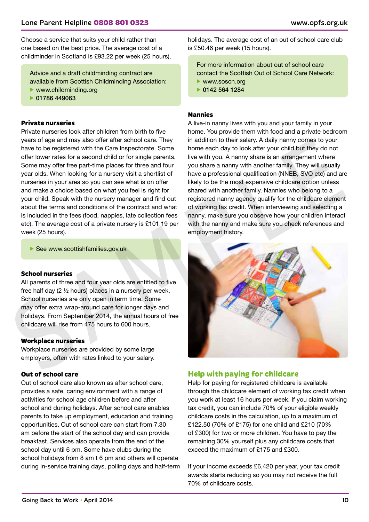Choose a service that suits your child rather than one based on the best price. The average cost of a childminder in Scotland is £93.22 per week (25 hours).

Advice and a draft childminding contract are available from Scottish Childminding Association:

- $\blacktriangleright$  [www.childminding.org](http://www.childminding.org)
- $\triangleright$  01786 449063

#### **Private nurseries**

Private nurseries look after children from birth to five years of age and may also offer after school care. They have to be registered with the Care Inspectorate. Some offer lower rates for a second child or for single parents. Some may offer free part-time places for three and four year olds. When looking for a nursery visit a shortlist of nurseries in your area so you can see what is on offer and make a choice based on what you feel is right for your child. Speak with the nursery manager and find out about the terms and conditions of the contract and what is included in the fees (food, nappies, late collection fees etc). The average cost of a private nursery is £101.19 per week (25 hours).

 $\blacktriangleright$  See www.scottishfamilies.gov.uk

#### **School nurseries**

All parents of three and four year olds are entitled to five free half day (2 ½ hours) places in a nursery per week. School nurseries are only open in term time. Some may offer extra wrap-around care for longer days and holidays. From September 2014, the annual hours of free childcare will rise from 475 hours to 600 hours.

#### **Workplace nurseries**

Workplace nurseries are provided by some large employers, often with rates linked to your salary.

#### **Out of school care**

Out of school care also known as after school care, provides a safe, caring environment with a range of activities for school age children before and after school and during holidays. After school care enables parents to take up employment, education and training opportunities. Out of school care can start from 7.30 am before the start of the school day and can provide breakfast. Services also operate from the end of the school day until 6 pm. Some have clubs during the school holidays from 8 am t 6 pm and others will operate during in-service training days, polling days and half-term holidays. The average cost of an out of school care club is £50.46 per week (15 hours).

For more information about out of school care contact the Scottish Out of School Care Network:  $\blacktriangleright$  [www.soscn.org](http://www.soscn.org)

 $\triangleright$  0142 564 1284

#### **Nannies**

A live-in nanny lives with you and your family in your home. You provide them with food and a private bedroom in addition to their salary. A daily nanny comes to your home each day to look after your child but they do not live with you. A nanny share is an arrangement where you share a nanny with another family. They will usually have a professional qualification (NNEB, SVQ etc) and are likely to be the most expensive childcare option unless shared with another family. Nannies who belong to a registered nanny agency qualify for the childcare element of working tax credit. When interviewing and selecting a nanny, make sure you observe how your children interact with the nanny and make sure you check references and employment history.



#### **Help with paying for childcare**

Help for paying for registered childcare is available through the childcare element of working tax credit when you work at least 16 hours per week. If you claim working tax credit, you can include 70% of your eligible weekly childcare costs in the calculation, up to a maximum of £122.50 (70% of £175) for one child and £210 (70% of £300) for two or more children. You have to pay the remaining 30% yourself plus any childcare costs that exceed the maximum of £175 and £300.

If your income exceeds £6,420 per year, your tax credit awards starts reducing so you may not receive the full 70% of childcare costs.